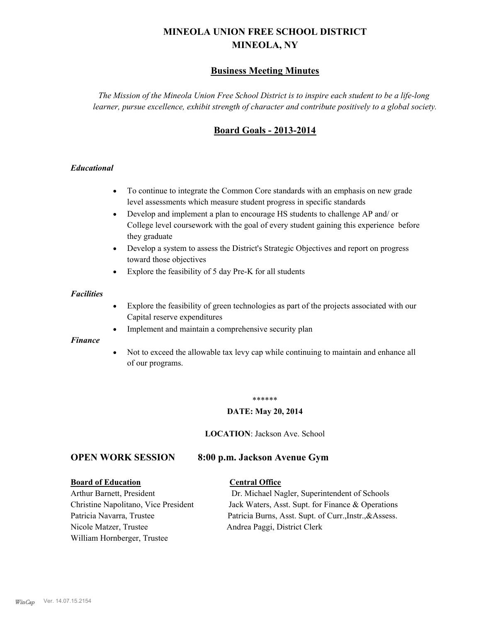# **MINEOLA UNION FREE SCHOOL DISTRICT MINEOLA, NY**

# **Business Meeting Minutes**

*The Mission of the Mineola Union Free School District is to inspire each student to be a life-long learner, pursue excellence, exhibit strength of character and contribute positively to a global society.*

# **Board Goals - 2013-2014**

## *Educational*

- · To continue to integrate the Common Core standards with an emphasis on new grade level assessments which measure student progress in specific standards
- · Develop and implement a plan to encourage HS students to challenge AP and/ or College level coursework with the goal of every student gaining this experience before they graduate
- Develop a system to assess the District's Strategic Objectives and report on progress toward those objectives
- · Explore the feasibility of 5 day Pre-K for all students

### *Facilities*

- · Explore the feasibility of green technologies as part of the projects associated with our Capital reserve expenditures
- Implement and maintain a comprehensive security plan

### *Finance*

• Not to exceed the allowable tax levy cap while continuing to maintain and enhance all of our programs.

#### \*\*\*\*\*\*

### **DATE: May 20, 2014**

**LOCATION**: Jackson Ave. School

# **OPEN WORK SESSION 8:00 p.m. Jackson Avenue Gym**

#### **Board of Education Central Office**

Nicole Matzer, Trustee Andrea Paggi, District Clerk William Hornberger, Trustee

Arthur Barnett, President Dr. Michael Nagler, Superintendent of Schools Christine Napolitano, Vice President Jack Waters, Asst. Supt. for Finance & Operations Patricia Navarra, Trustee Patricia Burns, Asst. Supt. of Curr., Instr., &Assess.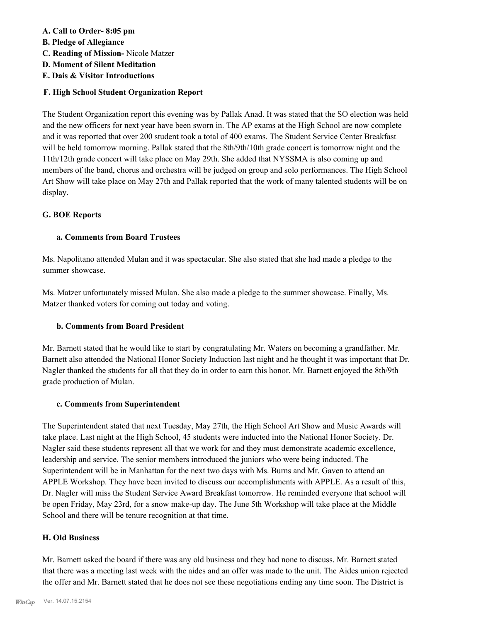## **A. Call to Order- 8:05 pm**

- **B. Pledge of Allegiance**
- **C. Reading of Mission-** Nicole Matzer
- **D. Moment of Silent Meditation**
- **E. Dais & Visitor Introductions**

# **F. High School Student Organization Report**

The Student Organization report this evening was by Pallak Anad. It was stated that the SO election was held and the new officers for next year have been sworn in. The AP exams at the High School are now complete and it was reported that over 200 student took a total of 400 exams. The Student Service Center Breakfast will be held tomorrow morning. Pallak stated that the 8th/9th/10th grade concert is tomorrow night and the 11th/12th grade concert will take place on May 29th. She added that NYSSMA is also coming up and members of the band, chorus and orchestra will be judged on group and solo performances. The High School Art Show will take place on May 27th and Pallak reported that the work of many talented students will be on display.

## **G. BOE Reports**

## **a. Comments from Board Trustees**

Ms. Napolitano attended Mulan and it was spectacular. She also stated that she had made a pledge to the summer showcase.

Ms. Matzer unfortunately missed Mulan. She also made a pledge to the summer showcase. Finally, Ms. Matzer thanked voters for coming out today and voting.

# **b. Comments from Board President**

Mr. Barnett stated that he would like to start by congratulating Mr. Waters on becoming a grandfather. Mr. Barnett also attended the National Honor Society Induction last night and he thought it was important that Dr. Nagler thanked the students for all that they do in order to earn this honor. Mr. Barnett enjoyed the 8th/9th grade production of Mulan.

## **c. Comments from Superintendent**

The Superintendent stated that next Tuesday, May 27th, the High School Art Show and Music Awards will take place. Last night at the High School, 45 students were inducted into the National Honor Society. Dr. Nagler said these students represent all that we work for and they must demonstrate academic excellence, leadership and service. The senior members introduced the juniors who were being inducted. The Superintendent will be in Manhattan for the next two days with Ms. Burns and Mr. Gaven to attend an APPLE Workshop. They have been invited to discuss our accomplishments with APPLE. As a result of this, Dr. Nagler will miss the Student Service Award Breakfast tomorrow. He reminded everyone that school will be open Friday, May 23rd, for a snow make-up day. The June 5th Workshop will take place at the Middle School and there will be tenure recognition at that time.

# **H. Old Business**

Mr. Barnett asked the board if there was any old business and they had none to discuss. Mr. Barnett stated that there was a meeting last week with the aides and an offer was made to the unit. The Aides union rejected the offer and Mr. Barnett stated that he does not see these negotiations ending any time soon. The District is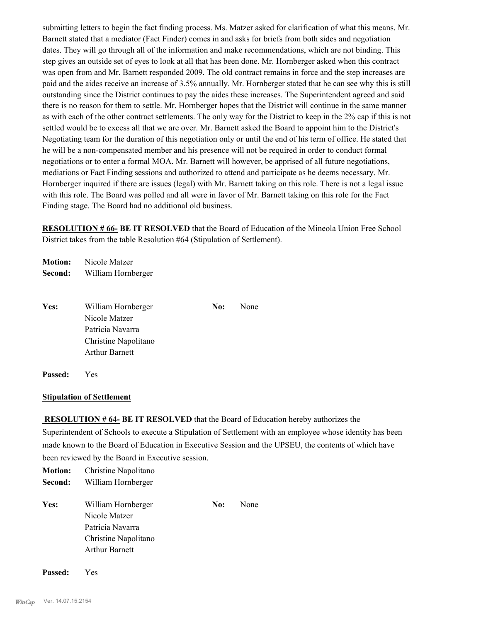submitting letters to begin the fact finding process. Ms. Matzer asked for clarification of what this means. Mr. Barnett stated that a mediator (Fact Finder) comes in and asks for briefs from both sides and negotiation dates. They will go through all of the information and make recommendations, which are not binding. This step gives an outside set of eyes to look at all that has been done. Mr. Hornberger asked when this contract was open from and Mr. Barnett responded 2009. The old contract remains in force and the step increases are paid and the aides receive an increase of 3.5% annually. Mr. Hornberger stated that he can see why this is still outstanding since the District continues to pay the aides these increases. The Superintendent agreed and said there is no reason for them to settle. Mr. Hornberger hopes that the District will continue in the same manner as with each of the other contract settlements. The only way for the District to keep in the 2% cap if this is not settled would be to excess all that we are over. Mr. Barnett asked the Board to appoint him to the District's Negotiating team for the duration of this negotiation only or until the end of his term of office. He stated that he will be a non-compensated member and his presence will not be required in order to conduct formal negotiations or to enter a formal MOA. Mr. Barnett will however, be apprised of all future negotiations, mediations or Fact Finding sessions and authorized to attend and participate as he deems necessary. Mr. Hornberger inquired if there are issues (legal) with Mr. Barnett taking on this role. There is not a legal issue with this role. The Board was polled and all were in favor of Mr. Barnett taking on this role for the Fact Finding stage. The Board had no additional old business.

**RESOLUTION # 66- BE IT RESOLVED** that the Board of Education of the Mineola Union Free School District takes from the table Resolution #64 (Stipulation of Settlement).

**Motion:** Nicole Matzer **Second:** William Hornberger

| Yes: | William Hornberger    | No: | None |
|------|-----------------------|-----|------|
|      | Nicole Matzer         |     |      |
|      | Patricia Navarra      |     |      |
|      | Christine Napolitano  |     |      |
|      | <b>Arthur Barnett</b> |     |      |
|      |                       |     |      |

**Passed:** Yes

## **Stipulation of Settlement**

 **RESOLUTION # 64- BE IT RESOLVED** that the Board of Education hereby authorizes the Superintendent of Schools to execute a Stipulation of Settlement with an employee whose identity has been made known to the Board of Education in Executive Session and the UPSEU, the contents of which have been reviewed by the Board in Executive session.

| <b>Motion:</b> | Christine Napolitano                                                                                     |     |      |
|----------------|----------------------------------------------------------------------------------------------------------|-----|------|
| Second:        | William Hornberger                                                                                       |     |      |
| Yes:           | William Hornberger<br>Nicole Matzer<br>Patricia Navarra<br>Christine Napolitano<br><b>Arthur Barnett</b> | No: | None |
|                |                                                                                                          |     |      |

**Passed:** Yes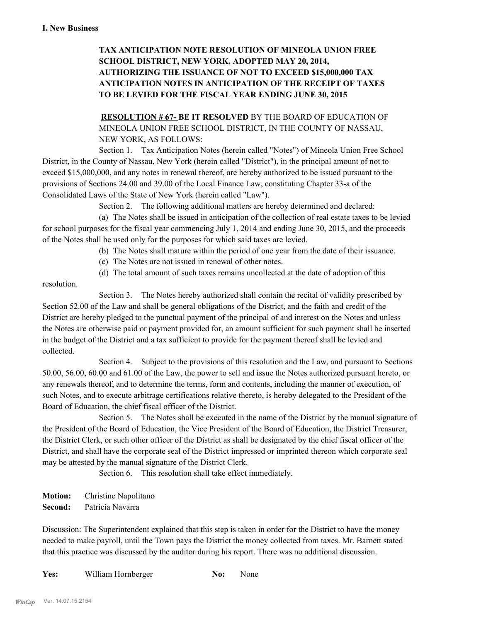# **TAX ANTICIPATION NOTE RESOLUTION OF MINEOLA UNION FREE SCHOOL DISTRICT, NEW YORK, ADOPTED MAY 20, 2014, AUTHORIZING THE ISSUANCE OF NOT TO EXCEED \$15,000,000 TAX ANTICIPATION NOTES IN ANTICIPATION OF THE RECEIPT OF TAXES TO BE LEVIED FOR THE FISCAL YEAR ENDING JUNE 30, 2015**

**RESOLUTION # 67- BE IT RESOLVED** BY THE BOARD OF EDUCATION OF MINEOLA UNION FREE SCHOOL DISTRICT, IN THE COUNTY OF NASSAU, NEW YORK, AS FOLLOWS:

Section 1. Tax Anticipation Notes (herein called "Notes") of Mineola Union Free School District, in the County of Nassau, New York (herein called "District"), in the principal amount of not to exceed \$15,000,000, and any notes in renewal thereof, are hereby authorized to be issued pursuant to the provisions of Sections 24.00 and 39.00 of the Local Finance Law, constituting Chapter 33-a of the Consolidated Laws of the State of New York (herein called "Law").

Section 2. The following additional matters are hereby determined and declared:

(a) The Notes shall be issued in anticipation of the collection of real estate taxes to be levied for school purposes for the fiscal year commencing July 1, 2014 and ending June 30, 2015, and the proceeds of the Notes shall be used only for the purposes for which said taxes are levied.

- (b) The Notes shall mature within the period of one year from the date of their issuance.
- (c) The Notes are not issued in renewal of other notes.
- (d) The total amount of such taxes remains uncollected at the date of adoption of this

resolution.

Section 3. The Notes hereby authorized shall contain the recital of validity prescribed by Section 52.00 of the Law and shall be general obligations of the District, and the faith and credit of the District are hereby pledged to the punctual payment of the principal of and interest on the Notes and unless the Notes are otherwise paid or payment provided for, an amount sufficient for such payment shall be inserted in the budget of the District and a tax sufficient to provide for the payment thereof shall be levied and collected.

Section 4. Subject to the provisions of this resolution and the Law, and pursuant to Sections 50.00, 56.00, 60.00 and 61.00 of the Law, the power to sell and issue the Notes authorized pursuant hereto, or any renewals thereof, and to determine the terms, form and contents, including the manner of execution, of such Notes, and to execute arbitrage certifications relative thereto, is hereby delegated to the President of the Board of Education, the chief fiscal officer of the District.

Section 5. The Notes shall be executed in the name of the District by the manual signature of the President of the Board of Education, the Vice President of the Board of Education, the District Treasurer, the District Clerk, or such other officer of the District as shall be designated by the chief fiscal officer of the District, and shall have the corporate seal of the District impressed or imprinted thereon which corporate seal may be attested by the manual signature of the District Clerk.

Section 6. This resolution shall take effect immediately.

**Motion:** Christine Napolitano **Second:** Patricia Navarra

Discussion: The Superintendent explained that this step is taken in order for the District to have the money needed to make payroll, until the Town pays the District the money collected from taxes. Mr. Barnett stated that this practice was discussed by the auditor during his report. There was no additional discussion.

Yes: William Hornberger **No:** None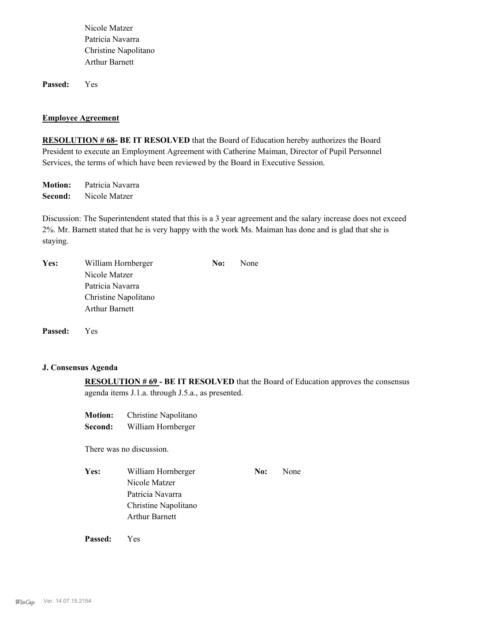Nicole Matzer Patricia Navarra Christine Napolitano Arthur Barnett

**Passed:** Yes

#### **Employee Agreement**

**RESOLUTION # 68- BE IT RESOLVED** that the Board of Education hereby authorizes the Board President to execute an Employment Agreement with Catherine Maiman, Director of Pupil Personnel Services, the terms of which have been reviewed by the Board in Executive Session.

**Motion:** Patricia Navarra **Second:** Nicole Matzer

Discussion: The Superintendent stated that this is a 3 year agreement and the salary increase does not exceed 2%. Mr. Barnett stated that he is very happy with the work Ms. Maiman has done and is glad that she is staying.

| Yes: | William Hornberger    | No: | None |
|------|-----------------------|-----|------|
|      | Nicole Matzer         |     |      |
|      | Patricia Navarra      |     |      |
|      | Christine Napolitano  |     |      |
|      | <b>Arthur Barnett</b> |     |      |
|      |                       |     |      |

**Passed:** Yes

# **J. Consensus Agenda**

**RESOLUTION # 69 - BE IT RESOLVED** that the Board of Education approves the consensus agenda items J.1.a. through J.5.a., as presented.

| <b>Motion:</b> | Christine Napolitano |
|----------------|----------------------|
| Second:        | William Hornberger   |

There was no discussion.

Yes: William Hornberger **No:** None Nicole Matzer Patricia Navarra Christine Napolitano Arthur Barnett

**Passed:** Yes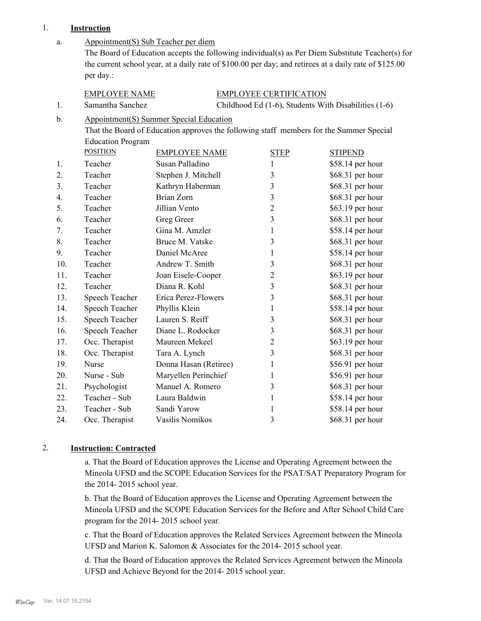# 1. **Instruction**

| a.            | Appointment(S) Sub Teacher per diem<br>The Board of Education accepts the following individual(s) as Per Diem Substitute Teacher(s) for<br>the current school year, at a daily rate of \$100.00 per day; and retirees at a daily rate of \$125.00 |                       |  |                               |                  |
|---------------|---------------------------------------------------------------------------------------------------------------------------------------------------------------------------------------------------------------------------------------------------|-----------------------|--|-------------------------------|------------------|
|               | per day.:                                                                                                                                                                                                                                         |                       |  |                               |                  |
|               | <b>EMPLOYEE NAME</b>                                                                                                                                                                                                                              |                       |  | <b>EMPLOYEE CERTIFICATION</b> |                  |
| 1.            | Childhood Ed (1-6), Students With Disabilities (1-6)<br>Samantha Sanchez                                                                                                                                                                          |                       |  |                               |                  |
| $\mathbf b$ . | <b>Appointment(S) Summer Special Education</b><br>That the Board of Education approves the following staff members for the Summer Special<br><b>Education Program</b>                                                                             |                       |  |                               |                  |
|               | <b>POSITION</b>                                                                                                                                                                                                                                   | <b>EMPLOYEE NAME</b>  |  | <b>STEP</b>                   | <b>STIPEND</b>   |
| 1.            | Teacher                                                                                                                                                                                                                                           | Susan Palladino       |  | $\mathbf{1}$                  | \$58.14 per hour |
| 2.            | Teacher                                                                                                                                                                                                                                           | Stephen J. Mitchell   |  | $\mathfrak{Z}$                | \$68.31 per hour |
| 3.            | Teacher                                                                                                                                                                                                                                           | Kathryn Haberman      |  | 3                             | \$68.31 per hour |
| 4.            | Teacher                                                                                                                                                                                                                                           | Brian Zorn            |  | $\overline{3}$                | \$68.31 per hour |
| 5.            | Teacher                                                                                                                                                                                                                                           | Jillian Vento         |  | $\overline{2}$                | \$63.19 per hour |
| 6.            | Teacher                                                                                                                                                                                                                                           | Greg Greer            |  | 3                             | \$68.31 per hour |
| 7.            | Teacher                                                                                                                                                                                                                                           | Gina M. Amzler        |  | 1                             | \$58.14 per hour |
| 8.            | Teacher                                                                                                                                                                                                                                           | Bruce M. Vatske       |  | $\mathfrak{Z}$                | \$68.31 per hour |
| 9.            | Teacher                                                                                                                                                                                                                                           | Daniel McAree         |  | $\mathbf{1}$                  | \$58.14 per hour |
| 10.           | Teacher                                                                                                                                                                                                                                           | Andrew T. Smith       |  | $\mathfrak{Z}$                | \$68.31 per hour |
| 11.           | Teacher                                                                                                                                                                                                                                           | Joan Eisele-Cooper    |  | $\overline{2}$                | \$63.19 per hour |
| 12.           | Teacher                                                                                                                                                                                                                                           | Diana R. Kohl         |  | 3                             | \$68.31 per hour |
| 13.           | Speech Teacher                                                                                                                                                                                                                                    | Erica Perez-Flowers   |  | 3                             | \$68.31 per hour |
| 14.           | Speech Teacher                                                                                                                                                                                                                                    | Phyllis Klein         |  | $\mathbf{1}$                  | \$58.14 per hour |
| 15.           | Speech Teacher                                                                                                                                                                                                                                    | Lauren S. Reiff       |  | 3                             | \$68.31 per hour |
| 16.           | Speech Teacher                                                                                                                                                                                                                                    | Diane L. Rodocker     |  | 3                             | \$68.31 per hour |
| 17.           | Occ. Therapist                                                                                                                                                                                                                                    | Maureen Mekeel        |  | $\overline{c}$                | \$63.19 per hour |
| 18.           | Occ. Therapist                                                                                                                                                                                                                                    | Tara A. Lynch         |  | 3                             | \$68.31 per hour |
| 19.           | Nurse                                                                                                                                                                                                                                             | Donna Hasan (Retiree) |  | $\mathbf{1}$                  | \$56.91 per hour |
| 20.           | Nurse - Sub                                                                                                                                                                                                                                       | Maryellen Perinchief  |  | $\mathbf{1}$                  | \$56.91 per hour |
| 21.           | Psychologist                                                                                                                                                                                                                                      | Manuel A. Romero      |  | 3                             | \$68.31 per hour |
| 22.           | Teacher - Sub                                                                                                                                                                                                                                     | Laura Baldwin         |  | $\mathbf{1}$                  | \$58.14 per hour |
| 23.           | Teacher - Sub                                                                                                                                                                                                                                     | Sandi Yarow           |  | $\mathbf{1}$                  | \$58.14 per hour |
| 24.           | Occ. Therapist                                                                                                                                                                                                                                    | Vasilis Nomikos       |  | 3                             | \$68.31 per hour |

## 2. **Instruction: Contracted**

a. That the Board of Education approves the License and Operating Agreement between the Mineola UFSD and the SCOPE Education Services for the PSAT/SAT Preparatory Program for the 2014- 2015 school year.

b. That the Board of Education approves the License and Operating Agreement between the Mineola UFSD and the SCOPE Education Services for the Before and After School Child Care program for the 2014- 2015 school year.

c. That the Board of Education approves the Related Services Agreement between the Mineola UFSD and Marion K. Salomon & Associates for the 2014- 2015 school year.

d. That the Board of Education approves the Related Services Agreement between the Mineola UFSD and Achieve Beyond for the 2014- 2015 school year.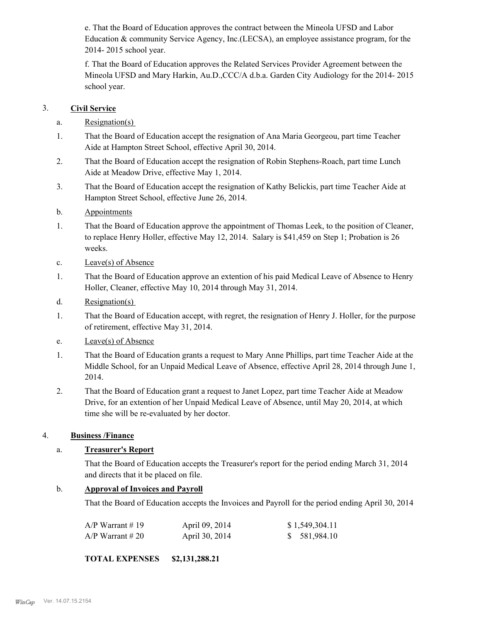e. That the Board of Education approves the contract between the Mineola UFSD and Labor Education & community Service Agency, Inc.(LECSA), an employee assistance program, for the 2014- 2015 school year.

f. That the Board of Education approves the Related Services Provider Agreement between the Mineola UFSD and Mary Harkin, Au.D.,CCC/A d.b.a. Garden City Audiology for the 2014- 2015 school year.

# 3. **Civil Service**

- a. Resignation(s)
- That the Board of Education accept the resignation of Ana Maria Georgeou, part time Teacher Aide at Hampton Street School, effective April 30, 2014. 1.
- That the Board of Education accept the resignation of Robin Stephens-Roach, part time Lunch Aide at Meadow Drive, effective May 1, 2014. 2.
- That the Board of Education accept the resignation of Kathy Belickis, part time Teacher Aide at Hampton Street School, effective June 26, 2014. 3.
- b. Appointments
- That the Board of Education approve the appointment of Thomas Leek, to the position of Cleaner, to replace Henry Holler, effective May 12, 2014. Salary is \$41,459 on Step 1; Probation is 26 weeks. 1.
- c. Leave(s) of Absence
- That the Board of Education approve an extention of his paid Medical Leave of Absence to Henry Holler, Cleaner, effective May 10, 2014 through May 31, 2014. 1.
- d. Resignation(s)
- That the Board of Education accept, with regret, the resignation of Henry J. Holler, for the purpose of retirement, effective May 31, 2014. 1.
- e. Leave(s) of Absence
- That the Board of Education grants a request to Mary Anne Phillips, part time Teacher Aide at the Middle School, for an Unpaid Medical Leave of Absence, effective April 28, 2014 through June 1, 2014. 1.
- That the Board of Education grant a request to Janet Lopez, part time Teacher Aide at Meadow Drive, for an extention of her Unpaid Medical Leave of Absence, until May 20, 2014, at which time she will be re-evaluated by her doctor. 2.

# 4. **Business /Finance**

# a. **Treasurer's Report**

That the Board of Education accepts the Treasurer's report for the period ending March 31, 2014 and directs that it be placed on file.

# b. **Approval of Invoices and Payroll**

That the Board of Education accepts the Invoices and Payroll for the period ending April 30, 2014

| $A/P$ Warrant #19  | April 09, 2014 | \$1,549,304.11 |
|--------------------|----------------|----------------|
| $A/P$ Warrant # 20 | April 30, 2014 | \$ 581,984.10  |

## **TOTAL EXPENSES \$2,131,288.21**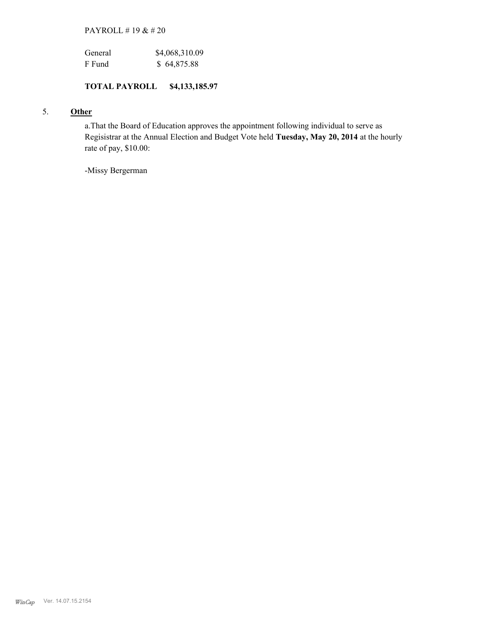# PAYROLL # 19 & # 20

| General | \$4,068,310.09 |
|---------|----------------|
| F Fund  | \$64,875.88    |

# **TOTAL PAYROLL \$4,133,185.97**

# 5. **Other**

a.That the Board of Education approves the appointment following individual to serve as Regisistrar at the Annual Election and Budget Vote held **Tuesday, May 20, 2014** at the hourly rate of pay, \$10.00:

-Missy Bergerman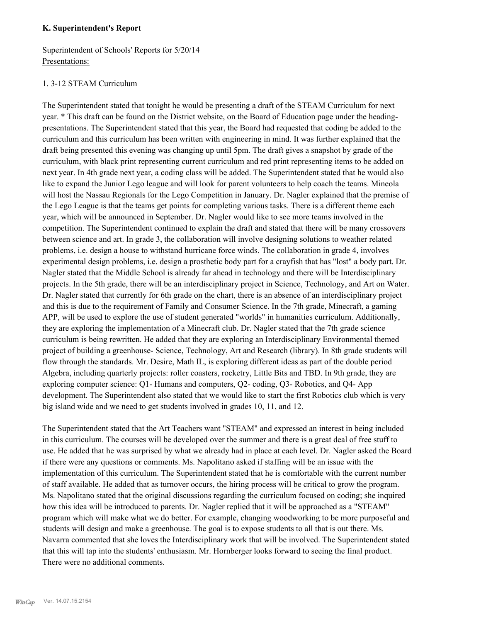## **K. Superintendent's Report**

# Superintendent of Schools' Reports for 5/20/14 Presentations:

## 1. 3-12 STEAM Curriculum

The Superintendent stated that tonight he would be presenting a draft of the STEAM Curriculum for next year. \* This draft can be found on the District website, on the Board of Education page under the headingpresentations. The Superintendent stated that this year, the Board had requested that coding be added to the curriculum and this curriculum has been written with engineering in mind. It was further explained that the draft being presented this evening was changing up until 5pm. The draft gives a snapshot by grade of the curriculum, with black print representing current curriculum and red print representing items to be added on next year. In 4th grade next year, a coding class will be added. The Superintendent stated that he would also like to expand the Junior Lego league and will look for parent volunteers to help coach the teams. Mineola will host the Nassau Regionals for the Lego Competition in January. Dr. Nagler explained that the premise of the Lego League is that the teams get points for completing various tasks. There is a different theme each year, which will be announced in September. Dr. Nagler would like to see more teams involved in the competition. The Superintendent continued to explain the draft and stated that there will be many crossovers between science and art. In grade 3, the collaboration will involve designing solutions to weather related problems, i.e. design a house to withstand hurricane force winds. The collaboration in grade 4, involves experimental design problems, i.e. design a prosthetic body part for a crayfish that has "lost" a body part. Dr. Nagler stated that the Middle School is already far ahead in technology and there will be Interdisciplinary projects. In the 5th grade, there will be an interdisciplinary project in Science, Technology, and Art on Water. Dr. Nagler stated that currently for 6th grade on the chart, there is an absence of an interdisciplinary project and this is due to the requirement of Family and Consumer Science. In the 7th grade, Minecraft, a gaming APP, will be used to explore the use of student generated "worlds" in humanities curriculum. Additionally, they are exploring the implementation of a Minecraft club. Dr. Nagler stated that the 7th grade science curriculum is being rewritten. He added that they are exploring an Interdisciplinary Environmental themed project of building a greenhouse- Science, Technology, Art and Research (library). In 8th grade students will flow through the standards. Mr. Desire, Math IL, is exploring different ideas as part of the double period Algebra, including quarterly projects: roller coasters, rocketry, Little Bits and TBD. In 9th grade, they are exploring computer science: Q1- Humans and computers, Q2- coding, Q3- Robotics, and Q4- App development. The Superintendent also stated that we would like to start the first Robotics club which is very big island wide and we need to get students involved in grades 10, 11, and 12.

The Superintendent stated that the Art Teachers want "STEAM" and expressed an interest in being included in this curriculum. The courses will be developed over the summer and there is a great deal of free stuff to use. He added that he was surprised by what we already had in place at each level. Dr. Nagler asked the Board if there were any questions or comments. Ms. Napolitano asked if staffing will be an issue with the implementation of this curriculum. The Superintendent stated that he is comfortable with the current number of staff available. He added that as turnover occurs, the hiring process will be critical to grow the program. Ms. Napolitano stated that the original discussions regarding the curriculum focused on coding; she inquired how this idea will be introduced to parents. Dr. Nagler replied that it will be approached as a "STEAM" program which will make what we do better. For example, changing woodworking to be more purposeful and students will design and make a greenhouse. The goal is to expose students to all that is out there. Ms. Navarra commented that she loves the Interdisciplinary work that will be involved. The Superintendent stated that this will tap into the students' enthusiasm. Mr. Hornberger looks forward to seeing the final product. There were no additional comments.